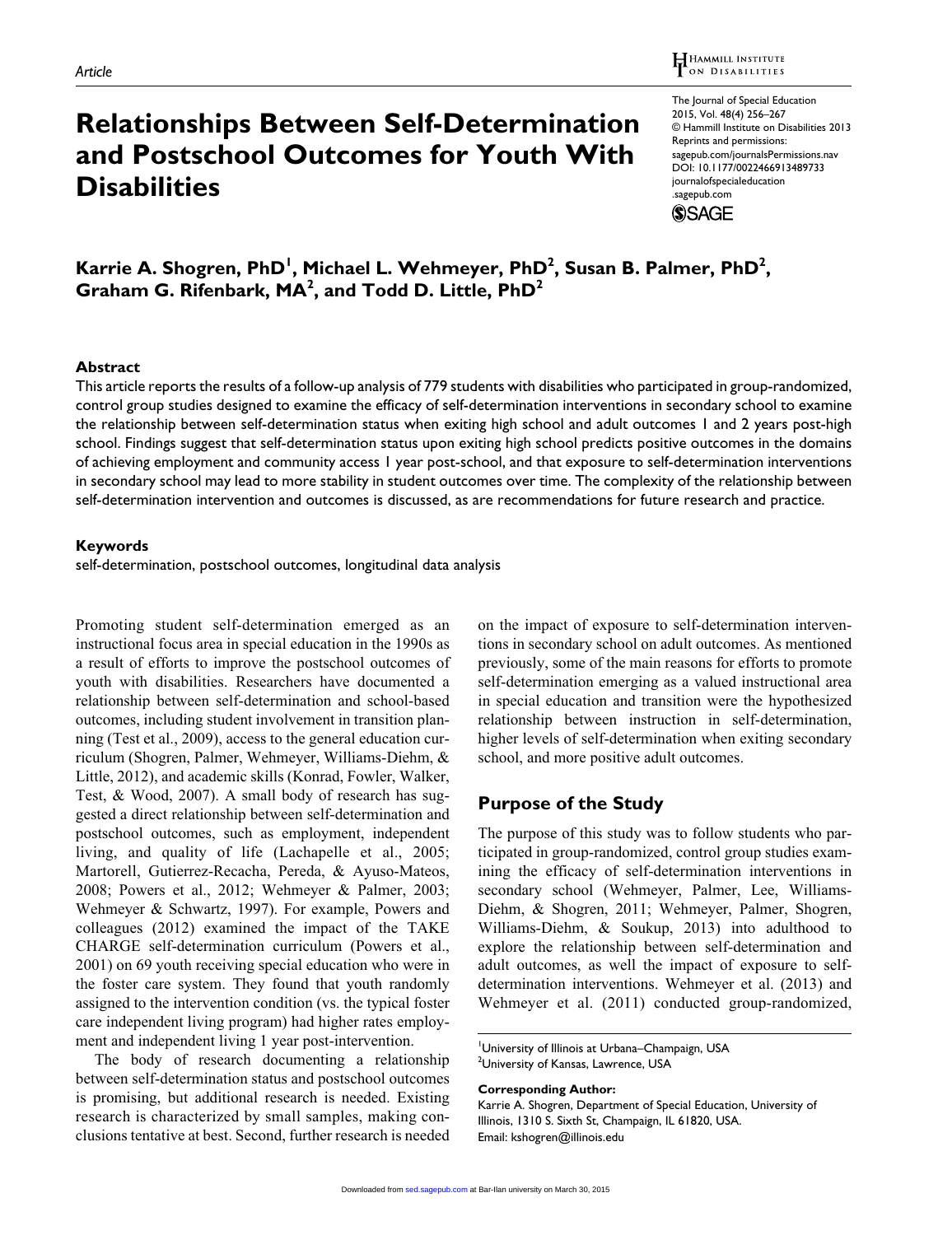# **Relationships Between Self-Determination and Postschool Outcomes for Youth With Disabilities**

The Journal of Special Education 2015, Vol. 48(4) 256–267 © Hammill Institute on Disabilities 2013 Reprints and permissions: sagepub.com/journalsPermissions.nav DOI: 10.1177/0022466913489733 journalofspecialeducation .sagepub.com \$SAGE

# **Karrie A. Shogren, PhD<sup>I</sup>, Michael L. Wehmeyer, PhD<sup>2</sup>, Susan B. Palmer, PhD<sup>2</sup>,** Graham G. Rifenbark, MA<sup>2</sup>, and Todd D. Little, PhD<sup>2</sup>

#### **Abstract**

This article reports the results of a follow-up analysis of 779 students with disabilities who participated in group-randomized, control group studies designed to examine the efficacy of self-determination interventions in secondary school to examine the relationship between self-determination status when exiting high school and adult outcomes 1 and 2 years post-high school. Findings suggest that self-determination status upon exiting high school predicts positive outcomes in the domains of achieving employment and community access 1 year post-school, and that exposure to self-determination interventions in secondary school may lead to more stability in student outcomes over time. The complexity of the relationship between self-determination intervention and outcomes is discussed, as are recommendations for future research and practice.

#### **Keywords**

self-determination, postschool outcomes, longitudinal data analysis

Promoting student self-determination emerged as an instructional focus area in special education in the 1990s as a result of efforts to improve the postschool outcomes of youth with disabilities. Researchers have documented a relationship between self-determination and school-based outcomes, including student involvement in transition planning (Test et al., 2009), access to the general education curriculum (Shogren, Palmer, Wehmeyer, Williams-Diehm, & Little, 2012), and academic skills (Konrad, Fowler, Walker, Test, & Wood, 2007). A small body of research has suggested a direct relationship between self-determination and postschool outcomes, such as employment, independent living, and quality of life (Lachapelle et al., 2005; Martorell, Gutierrez-Recacha, Pereda, & Ayuso-Mateos, 2008; Powers et al., 2012; Wehmeyer & Palmer, 2003; Wehmeyer & Schwartz, 1997). For example, Powers and colleagues (2012) examined the impact of the TAKE CHARGE self-determination curriculum (Powers et al., 2001) on 69 youth receiving special education who were in the foster care system. They found that youth randomly assigned to the intervention condition (vs. the typical foster care independent living program) had higher rates employment and independent living 1 year post-intervention.

The body of research documenting a relationship between self-determination status and postschool outcomes is promising, but additional research is needed. Existing research is characterized by small samples, making conclusions tentative at best. Second, further research is needed

on the impact of exposure to self-determination interventions in secondary school on adult outcomes. As mentioned previously, some of the main reasons for efforts to promote self-determination emerging as a valued instructional area in special education and transition were the hypothesized relationship between instruction in self-determination, higher levels of self-determination when exiting secondary school, and more positive adult outcomes.

# **Purpose of the Study**

The purpose of this study was to follow students who participated in group-randomized, control group studies examining the efficacy of self-determination interventions in secondary school (Wehmeyer, Palmer, Lee, Williams-Diehm, & Shogren, 2011; Wehmeyer, Palmer, Shogren, Williams-Diehm, & Soukup, 2013) into adulthood to explore the relationship between self-determination and adult outcomes, as well the impact of exposure to selfdetermination interventions. Wehmeyer et al. (2013) and Wehmeyer et al. (2011) conducted group-randomized,

#### **Corresponding Author:**

Karrie A. Shogren, Department of Special Education, University of Illinois, 1310 S. Sixth St, Champaign, IL 61820, USA. Email: kshogren@illinois.edu

University of Illinois at Urbana-Champaign, USA <sup>2</sup>University of Kansas, Lawrence, USA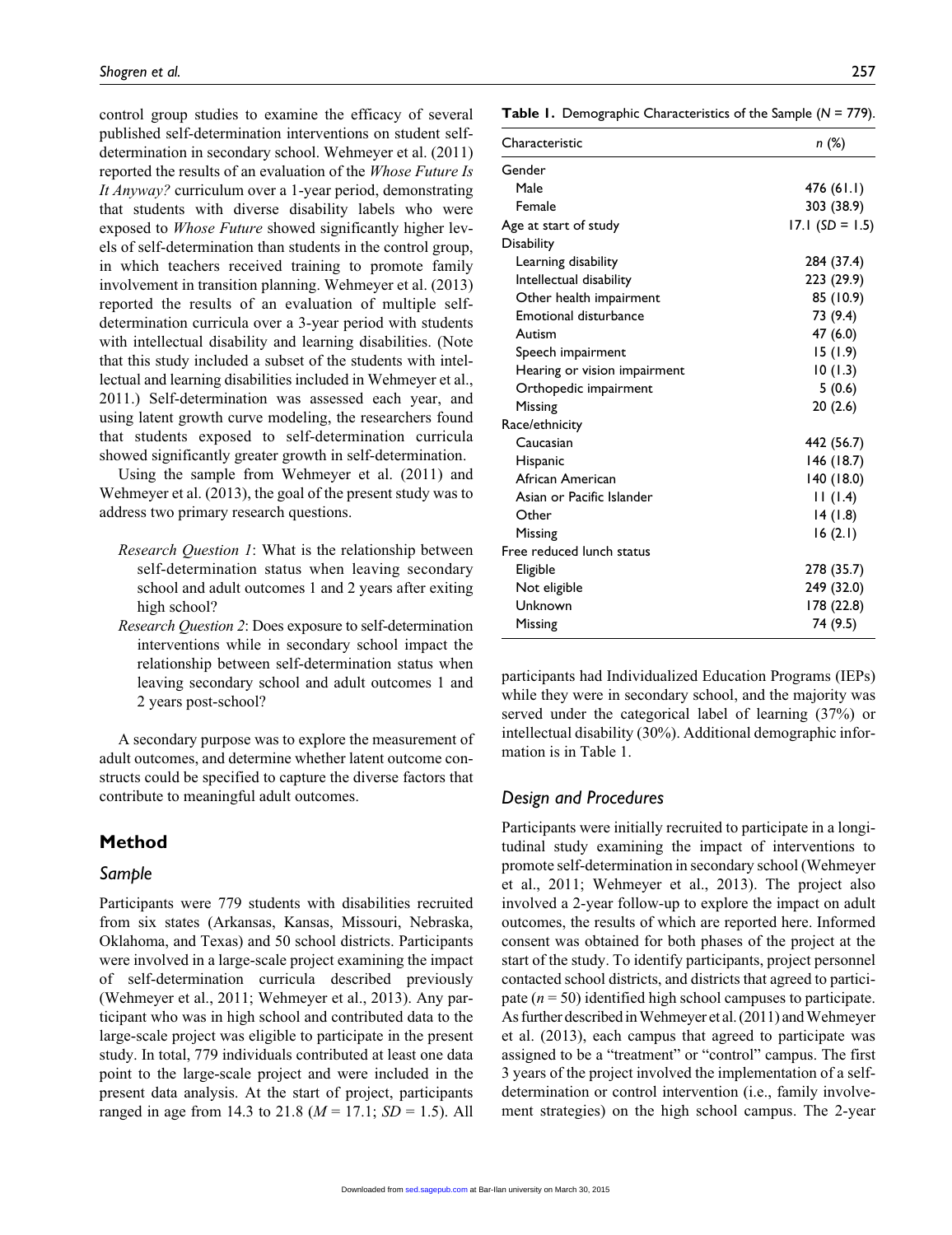control group studies to examine the efficacy of several published self-determination interventions on student selfdetermination in secondary school. Wehmeyer et al. (2011) reported the results of an evaluation of the *Whose Future Is It Anyway?* curriculum over a 1-year period, demonstrating that students with diverse disability labels who were exposed to *Whose Future* showed significantly higher levels of self-determination than students in the control group, in which teachers received training to promote family involvement in transition planning. Wehmeyer et al. (2013) reported the results of an evaluation of multiple selfdetermination curricula over a 3-year period with students with intellectual disability and learning disabilities. (Note that this study included a subset of the students with intellectual and learning disabilities included in Wehmeyer et al., 2011.) Self-determination was assessed each year, and using latent growth curve modeling, the researchers found that students exposed to self-determination curricula showed significantly greater growth in self-determination.

Using the sample from Wehmeyer et al. (2011) and Wehmeyer et al. (2013), the goal of the present study was to address two primary research questions.

- *Research Question 1*: What is the relationship between self-determination status when leaving secondary school and adult outcomes 1 and 2 years after exiting high school?
- *Research Question 2*: Does exposure to self-determination interventions while in secondary school impact the relationship between self-determination status when leaving secondary school and adult outcomes 1 and 2 years post-school?

A secondary purpose was to explore the measurement of adult outcomes, and determine whether latent outcome constructs could be specified to capture the diverse factors that contribute to meaningful adult outcomes.

# **Method**

#### *Sample*

Participants were 779 students with disabilities recruited from six states (Arkansas, Kansas, Missouri, Nebraska, Oklahoma, and Texas) and 50 school districts. Participants were involved in a large-scale project examining the impact of self-determination curricula described previously (Wehmeyer et al., 2011; Wehmeyer et al., 2013). Any participant who was in high school and contributed data to the large-scale project was eligible to participate in the present study. In total, 779 individuals contributed at least one data point to the large-scale project and were included in the present data analysis. At the start of project, participants ranged in age from 14.3 to 21.8 (*M* = 17.1; *SD* = 1.5). All

**Table 1.** Demographic Characteristics of the Sample (*N* = 779).

| Characteristic               | n (%)             |
|------------------------------|-------------------|
| Gender                       |                   |
| Male                         | 476 (61.1)        |
| Female                       | 303 (38.9)        |
| Age at start of study        | $17.1$ (SD = 1.5) |
| Disability                   |                   |
| Learning disability          | 284 (37.4)        |
| Intellectual disability      | 223 (29.9)        |
| Other health impairment      | 85 (10.9)         |
| Emotional disturbance        | 73 (9.4)          |
| Autism                       | 47 (6.0)          |
| Speech impairment            | 15(1.9)           |
| Hearing or vision impairment | 10(1.3)           |
| Orthopedic impairment        | 5(0.6)            |
| Missing                      | 20(2.6)           |
| Race/ethnicity               |                   |
| Caucasian                    | 442 (56.7)        |
| Hispanic                     | 146 (18.7)        |
| African American             | 140 (18.0)        |
| Asian or Pacific Islander    | 11(1.4)           |
| Other                        | 14(1.8)           |
| Missing                      | 16(2.1)           |
| Free reduced lunch status    |                   |
| Eligible                     | 278 (35.7)        |
| Not eligible                 | 249 (32.0)        |
| Unknown                      | 178 (22.8)        |
| Missing                      | 74 (9.5)          |

participants had Individualized Education Programs (IEPs) while they were in secondary school, and the majority was served under the categorical label of learning (37%) or intellectual disability (30%). Additional demographic information is in Table 1.

## *Design and Procedures*

Participants were initially recruited to participate in a longitudinal study examining the impact of interventions to promote self-determination in secondary school (Wehmeyer et al., 2011; Wehmeyer et al., 2013). The project also involved a 2-year follow-up to explore the impact on adult outcomes, the results of which are reported here. Informed consent was obtained for both phases of the project at the start of the study. To identify participants, project personnel contacted school districts, and districts that agreed to participate  $(n = 50)$  identified high school campuses to participate. As further described in Wehmeyer et al. (2011) and Wehmeyer et al. (2013), each campus that agreed to participate was assigned to be a "treatment" or "control" campus. The first 3 years of the project involved the implementation of a selfdetermination or control intervention (i.e., family involvement strategies) on the high school campus. The 2-year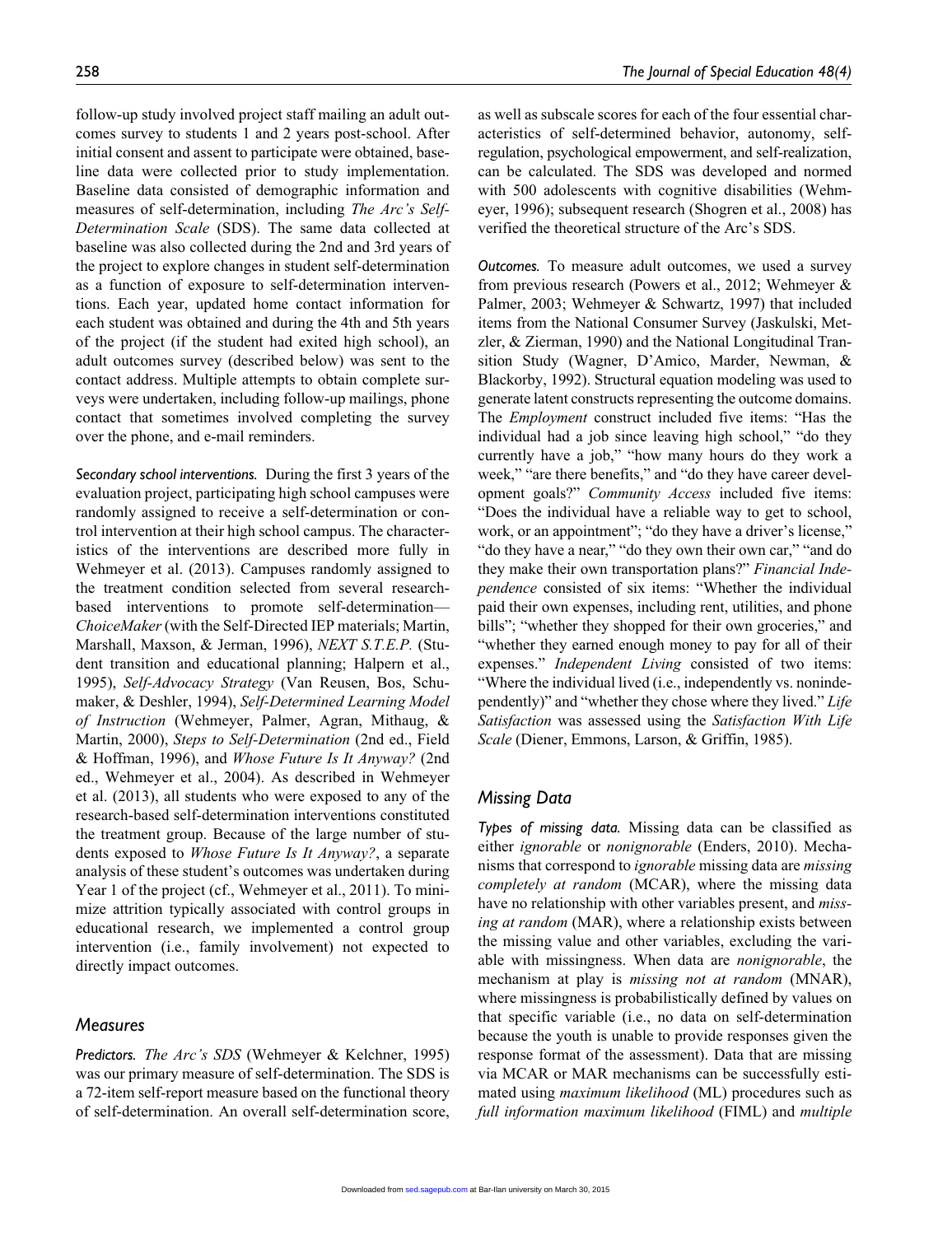follow-up study involved project staff mailing an adult outcomes survey to students 1 and 2 years post-school. After initial consent and assent to participate were obtained, baseline data were collected prior to study implementation. Baseline data consisted of demographic information and measures of self-determination, including *The Arc's Self-Determination Scale* (SDS). The same data collected at baseline was also collected during the 2nd and 3rd years of the project to explore changes in student self-determination as a function of exposure to self-determination interventions. Each year, updated home contact information for each student was obtained and during the 4th and 5th years of the project (if the student had exited high school), an adult outcomes survey (described below) was sent to the contact address. Multiple attempts to obtain complete surveys were undertaken, including follow-up mailings, phone contact that sometimes involved completing the survey over the phone, and e-mail reminders.

*Secondary school interventions.* During the first 3 years of the evaluation project, participating high school campuses were randomly assigned to receive a self-determination or control intervention at their high school campus. The characteristics of the interventions are described more fully in Wehmeyer et al. (2013). Campuses randomly assigned to the treatment condition selected from several researchbased interventions to promote self-determination— *ChoiceMaker* (with the Self-Directed IEP materials; Martin, Marshall, Maxson, & Jerman, 1996), *NEXT S.T.E.P.* (Student transition and educational planning; Halpern et al., 1995), *Self-Advocacy Strategy* (Van Reusen, Bos, Schumaker, & Deshler, 1994), *Self-Determined Learning Model of Instruction* (Wehmeyer, Palmer, Agran, Mithaug, & Martin, 2000), *Steps to Self-Determination* (2nd ed., Field & Hoffman, 1996), and *Whose Future Is It Anyway?* (2nd ed., Wehmeyer et al., 2004). As described in Wehmeyer et al. (2013), all students who were exposed to any of the research-based self-determination interventions constituted the treatment group. Because of the large number of students exposed to *Whose Future Is It Anyway?*, a separate analysis of these student's outcomes was undertaken during Year 1 of the project (cf., Wehmeyer et al., 2011). To minimize attrition typically associated with control groups in educational research, we implemented a control group intervention (i.e., family involvement) not expected to directly impact outcomes.

# *Measures*

*Predictors. The Arc's SDS* (Wehmeyer & Kelchner, 1995) was our primary measure of self-determination. The SDS is a 72-item self-report measure based on the functional theory of self-determination. An overall self-determination score, as well as subscale scores for each of the four essential characteristics of self-determined behavior, autonomy, selfregulation, psychological empowerment, and self-realization, can be calculated. The SDS was developed and normed with 500 adolescents with cognitive disabilities (Wehmeyer, 1996); subsequent research (Shogren et al., 2008) has verified the theoretical structure of the Arc's SDS.

*Outcomes.* To measure adult outcomes, we used a survey from previous research (Powers et al., 2012; Wehmeyer & Palmer, 2003; Wehmeyer & Schwartz, 1997) that included items from the National Consumer Survey (Jaskulski, Metzler, & Zierman, 1990) and the National Longitudinal Transition Study (Wagner, D'Amico, Marder, Newman, & Blackorby, 1992). Structural equation modeling was used to generate latent constructs representing the outcome domains. The *Employment* construct included five items: "Has the individual had a job since leaving high school," "do they currently have a job," "how many hours do they work a week," "are there benefits," and "do they have career development goals?" *Community Access* included five items: "Does the individual have a reliable way to get to school, work, or an appointment"; "do they have a driver's license," "do they have a near," "do they own their own car," "and do they make their own transportation plans?" *Financial Independence* consisted of six items: "Whether the individual paid their own expenses, including rent, utilities, and phone bills"; "whether they shopped for their own groceries," and "whether they earned enough money to pay for all of their expenses." *Independent Living* consisted of two items: "Where the individual lived (i.e., independently vs. nonindependently)" and "whether they chose where they lived." *Life Satisfaction* was assessed using the *Satisfaction With Life Scale* (Diener, Emmons, Larson, & Griffin, 1985).

#### *Missing Data*

*Types of missing data.* Missing data can be classified as either *ignorable* or *nonignorable* (Enders, 2010). Mechanisms that correspond to *ignorable* missing data are *missing completely at random* (MCAR), where the missing data have no relationship with other variables present, and *missing at random* (MAR), where a relationship exists between the missing value and other variables, excluding the variable with missingness. When data are *nonignorable*, the mechanism at play is *missing not at random* (MNAR), where missingness is probabilistically defined by values on that specific variable (i.e., no data on self-determination because the youth is unable to provide responses given the response format of the assessment). Data that are missing via MCAR or MAR mechanisms can be successfully estimated using *maximum likelihood* (ML) procedures such as *full information maximum likelihood* (FIML) and *multiple*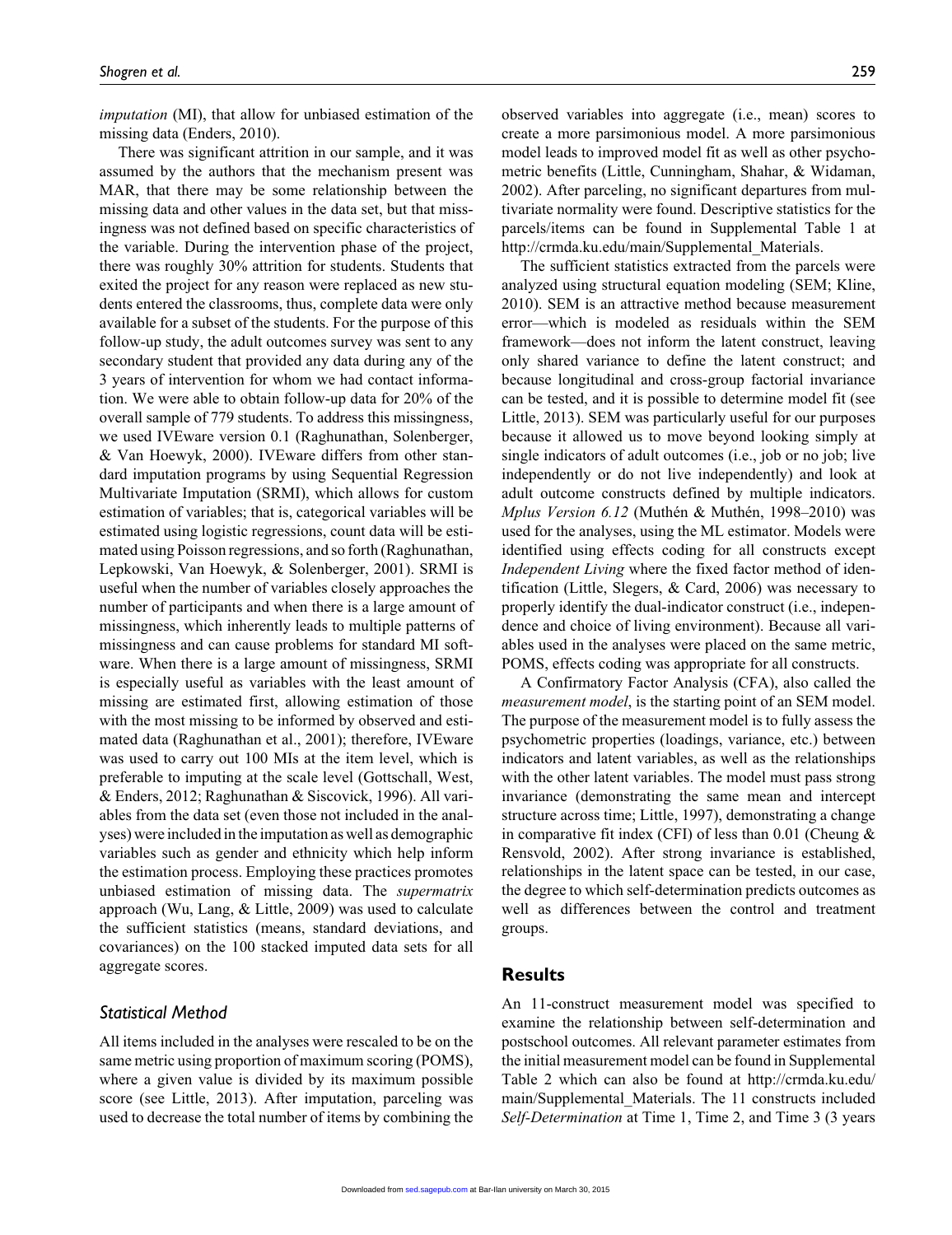*imputation* (MI), that allow for unbiased estimation of the missing data (Enders, 2010).

There was significant attrition in our sample, and it was assumed by the authors that the mechanism present was MAR, that there may be some relationship between the missing data and other values in the data set, but that missingness was not defined based on specific characteristics of the variable. During the intervention phase of the project, there was roughly 30% attrition for students. Students that exited the project for any reason were replaced as new students entered the classrooms, thus, complete data were only available for a subset of the students. For the purpose of this follow-up study, the adult outcomes survey was sent to any secondary student that provided any data during any of the 3 years of intervention for whom we had contact information. We were able to obtain follow-up data for 20% of the overall sample of 779 students. To address this missingness, we used IVEware version 0.1 (Raghunathan, Solenberger, & Van Hoewyk, 2000). IVEware differs from other standard imputation programs by using Sequential Regression Multivariate Imputation (SRMI), which allows for custom estimation of variables; that is, categorical variables will be estimated using logistic regressions, count data will be estimated using Poisson regressions, and so forth (Raghunathan, Lepkowski, Van Hoewyk, & Solenberger, 2001). SRMI is useful when the number of variables closely approaches the number of participants and when there is a large amount of missingness, which inherently leads to multiple patterns of missingness and can cause problems for standard MI software. When there is a large amount of missingness, SRMI is especially useful as variables with the least amount of missing are estimated first, allowing estimation of those with the most missing to be informed by observed and estimated data (Raghunathan et al., 2001); therefore, IVEware was used to carry out 100 MIs at the item level, which is preferable to imputing at the scale level (Gottschall, West, & Enders, 2012; Raghunathan & Siscovick, 1996). All variables from the data set (even those not included in the analyses) were included in the imputation as well as demographic variables such as gender and ethnicity which help inform the estimation process. Employing these practices promotes unbiased estimation of missing data. The *supermatrix* approach (Wu, Lang, & Little, 2009) was used to calculate the sufficient statistics (means, standard deviations, and covariances) on the 100 stacked imputed data sets for all aggregate scores.

# *Statistical Method*

All items included in the analyses were rescaled to be on the same metric using proportion of maximum scoring (POMS), where a given value is divided by its maximum possible score (see Little, 2013). After imputation, parceling was used to decrease the total number of items by combining the

observed variables into aggregate (i.e., mean) scores to create a more parsimonious model. A more parsimonious model leads to improved model fit as well as other psychometric benefits (Little, Cunningham, Shahar, & Widaman, 2002). After parceling, no significant departures from multivariate normality were found. Descriptive statistics for the parcels/items can be found in Supplemental Table 1 at http://crmda.ku.edu/main/Supplemental\_Materials.

The sufficient statistics extracted from the parcels were analyzed using structural equation modeling (SEM; Kline, 2010). SEM is an attractive method because measurement error—which is modeled as residuals within the SEM framework—does not inform the latent construct, leaving only shared variance to define the latent construct; and because longitudinal and cross-group factorial invariance can be tested, and it is possible to determine model fit (see Little, 2013). SEM was particularly useful for our purposes because it allowed us to move beyond looking simply at single indicators of adult outcomes (i.e., job or no job; live independently or do not live independently) and look at adult outcome constructs defined by multiple indicators. *Mplus Version 6.12* (Muthén & Muthén, 1998–2010) was used for the analyses, using the ML estimator. Models were identified using effects coding for all constructs except *Independent Living* where the fixed factor method of identification (Little, Slegers, & Card, 2006) was necessary to properly identify the dual-indicator construct (i.e., independence and choice of living environment). Because all variables used in the analyses were placed on the same metric, POMS, effects coding was appropriate for all constructs.

A Confirmatory Factor Analysis (CFA), also called the *measurement model*, is the starting point of an SEM model. The purpose of the measurement model is to fully assess the psychometric properties (loadings, variance, etc.) between indicators and latent variables, as well as the relationships with the other latent variables. The model must pass strong invariance (demonstrating the same mean and intercept structure across time; Little, 1997), demonstrating a change in comparative fit index (CFI) of less than 0.01 (Cheung & Rensvold, 2002). After strong invariance is established, relationships in the latent space can be tested, in our case, the degree to which self-determination predicts outcomes as well as differences between the control and treatment groups.

# **Results**

An 11-construct measurement model was specified to examine the relationship between self-determination and postschool outcomes. All relevant parameter estimates from the initial measurement model can be found in Supplemental Table 2 which can also be found at http://crmda.ku.edu/ [main/Supplemental\\_Materials. The 11 constructs included](http://crmda.ku.edu/main/Supplemental_Materials)  *Self-Determination* at Time 1, Time 2, and Time 3 (3 years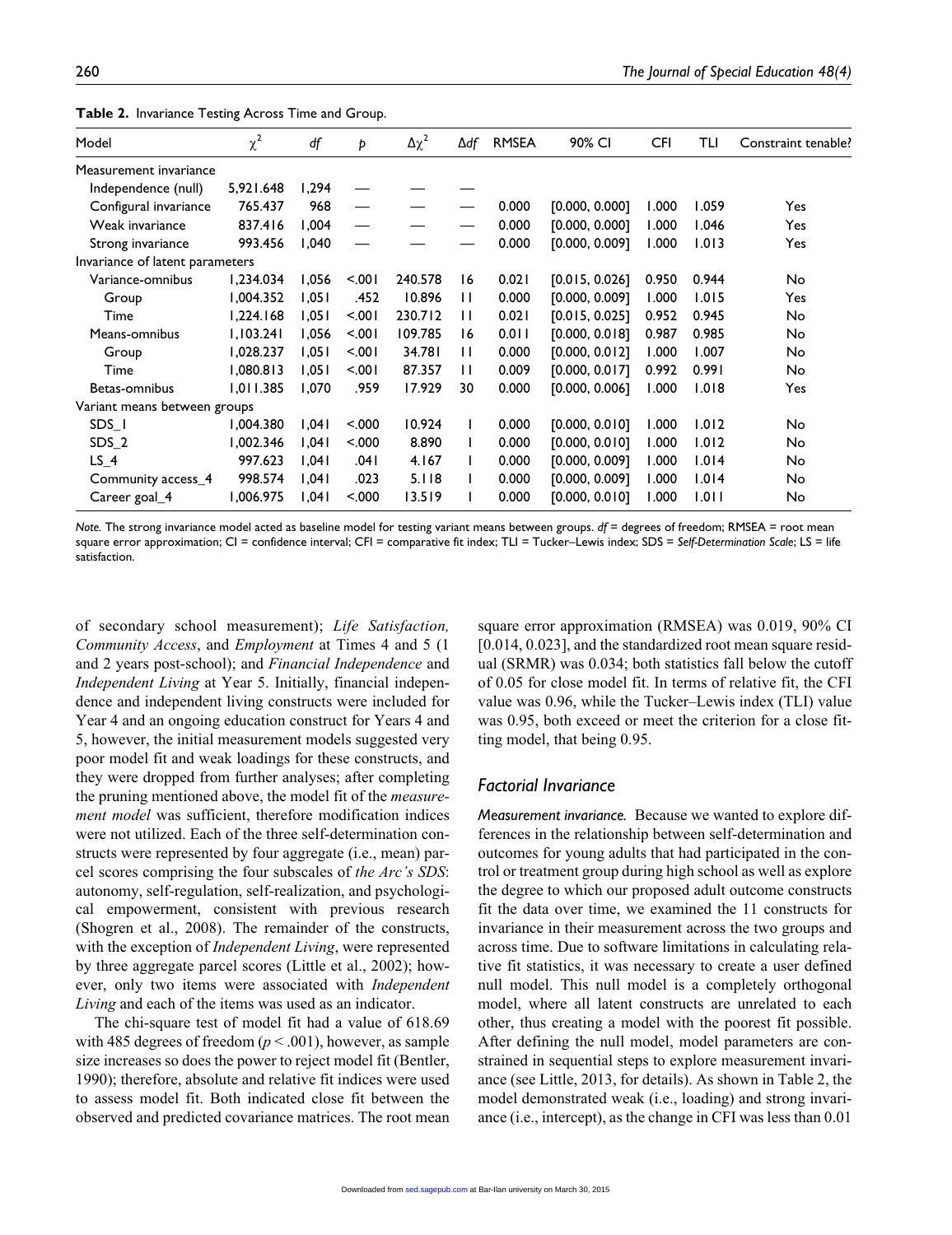| Model                           | $\chi^2$   | df    | Þ      | $\Delta \chi^2$ | Δdf          | <b>RMSEA</b> | 90% CI         | <b>CFI</b> | TLI   | Constraint tenable? |
|---------------------------------|------------|-------|--------|-----------------|--------------|--------------|----------------|------------|-------|---------------------|
| Measurement invariance          |            |       |        |                 |              |              |                |            |       |                     |
| Independence (null)             | 5,921.648  | 1,294 |        |                 |              |              |                |            |       |                     |
| Configural invariance           | 765.437    | 968   |        |                 |              | 0.000        | [0.000, 0.000] | 1.000      | 1.059 | Yes                 |
| Weak invariance                 | 837.416    | 1,004 | —      |                 |              | 0.000        | [0.000, 0.000] | 1.000      | 1.046 | Yes                 |
| Strong invariance               | 993.456    | 1,040 |        |                 |              | 0.000        | [0.000, 0.009] | 1.000      | 1.013 | Yes                 |
| Invariance of latent parameters |            |       |        |                 |              |              |                |            |       |                     |
| Variance-omnibus                | 1.234.034  | 1,056 | 5.001  | 240.578         | 16           | 0.021        | [0.015, 0.026] | 0.950      | 0.944 | No.                 |
| Group                           | 1,004.352  | 1,051 | .452   | 10.896          | $\perp$      | 0.000        | [0.000, 0.009] | 1.000      | 1.015 | Yes                 |
| Time                            | 1,224.168  | 1,051 | 5.001  | 230.712         | $\mathbf{1}$ | 0.021        | [0.015, 0.025] | 0.952      | 0.945 | No.                 |
| Means-omnibus                   | 1,103.241  | 1,056 | < .001 | 109.785         | 16           | 0.011        | [0.000, 0.018] | 0.987      | 0.985 | No.                 |
| Group                           | 1,028.237  | 1,051 | 5.001  | 34.781          | $\mathbf{1}$ | 0.000        | [0.000, 0.012] | 1.000      | 1.007 | No.                 |
| Time                            | 1.080.813  | 1.051 | 5.001  | 87.357          | $\mathbf{H}$ | 0.009        | [0.000, 0.017] | 0.992      | 0.991 | No.                 |
| Betas-omnibus                   | 1,011.385  | 1,070 | .959   | 17.929          | 30           | 0.000        | [0.000, 0.006] | 1.000      | 1.018 | Yes                 |
| Variant means between groups    |            |       |        |                 |              |              |                |            |       |                     |
| SDS_I                           | 1.004.380  | 1,041 | < 0.00 | 10.924          |              | 0.000        | [0.000, 0.010] | 1.000      | 1.012 | No.                 |
| SDS <sub>2</sub>                | 002.346.   | 1,041 | < 0.00 | 8.890           |              | 0.000        | [0.000, 0.010] | 1.000      | 1.012 | No.                 |
| $LS_4$                          | 997.623    | 1,041 | .041   | 4.167           |              | 0.000        | [0.000, 0.009] | 1.000      | 1.014 | No.                 |
| Community access_4              | 998.574    | 1,041 | .023   | 5.118           |              | 0.000        | [0.000, 0.009] | 1.000      | 1.014 | No                  |
| Career goal 4                   | 006.975. ا | 1,041 | < 0.00 | 13.519          |              | 0.000        | [0.000, 0.010] | 1.000      | 1.011 | No                  |

**Table 2.** Invariance Testing Across Time and Group.

*Note.* The strong invariance model acted as baseline model for testing variant means between groups. *df* = degrees of freedom; RMSEA = root mean square error approximation; CI = confidence interval; CFI = comparative fit index; TLI = Tucker–Lewis index; SDS = *Self-Determination Scale*; LS = life satisfaction.

of secondary school measurement); *Life Satisfaction, Community Access*, and *Employment* at Times 4 and 5 (1 and 2 years post-school); and *Financial Independence* and *Independent Living* at Year 5. Initially, financial independence and independent living constructs were included for Year 4 and an ongoing education construct for Years 4 and 5, however, the initial measurement models suggested very poor model fit and weak loadings for these constructs, and they were dropped from further analyses; after completing the pruning mentioned above, the model fit of the *measurement model* was sufficient, therefore modification indices were not utilized. Each of the three self-determination constructs were represented by four aggregate (i.e., mean) parcel scores comprising the four subscales of *the Arc's SDS*: autonomy, self-regulation, self-realization, and psychological empowerment, consistent with previous research (Shogren et al., 2008). The remainder of the constructs, with the exception of *Independent Living*, were represented by three aggregate parcel scores (Little et al., 2002); however, only two items were associated with *Independent Living* and each of the items was used as an indicator.

The chi-square test of model fit had a value of 618.69 with 485 degrees of freedom  $(p < .001)$ , however, as sample size increases so does the power to reject model fit (Bentler, 1990); therefore, absolute and relative fit indices were used to assess model fit. Both indicated close fit between the observed and predicted covariance matrices. The root mean

square error approximation (RMSEA) was 0.019, 90% CI [0.014, 0.023], and the standardized root mean square residual (SRMR) was 0.034; both statistics fall below the cutoff of 0.05 for close model fit. In terms of relative fit, the CFI value was 0.96, while the Tucker–Lewis index (TLI) value was 0.95, both exceed or meet the criterion for a close fitting model, that being 0.95.

#### *Factorial Invariance*

*Measurement invariance.* Because we wanted to explore differences in the relationship between self-determination and outcomes for young adults that had participated in the control or treatment group during high school as well as explore the degree to which our proposed adult outcome constructs fit the data over time, we examined the 11 constructs for invariance in their measurement across the two groups and across time. Due to software limitations in calculating relative fit statistics, it was necessary to create a user defined null model. This null model is a completely orthogonal model, where all latent constructs are unrelated to each other, thus creating a model with the poorest fit possible. After defining the null model, model parameters are constrained in sequential steps to explore measurement invariance (see Little, 2013, for details). As shown in Table 2, the model demonstrated weak (i.e., loading) and strong invariance (i.e., intercept), as the change in CFI was less than 0.01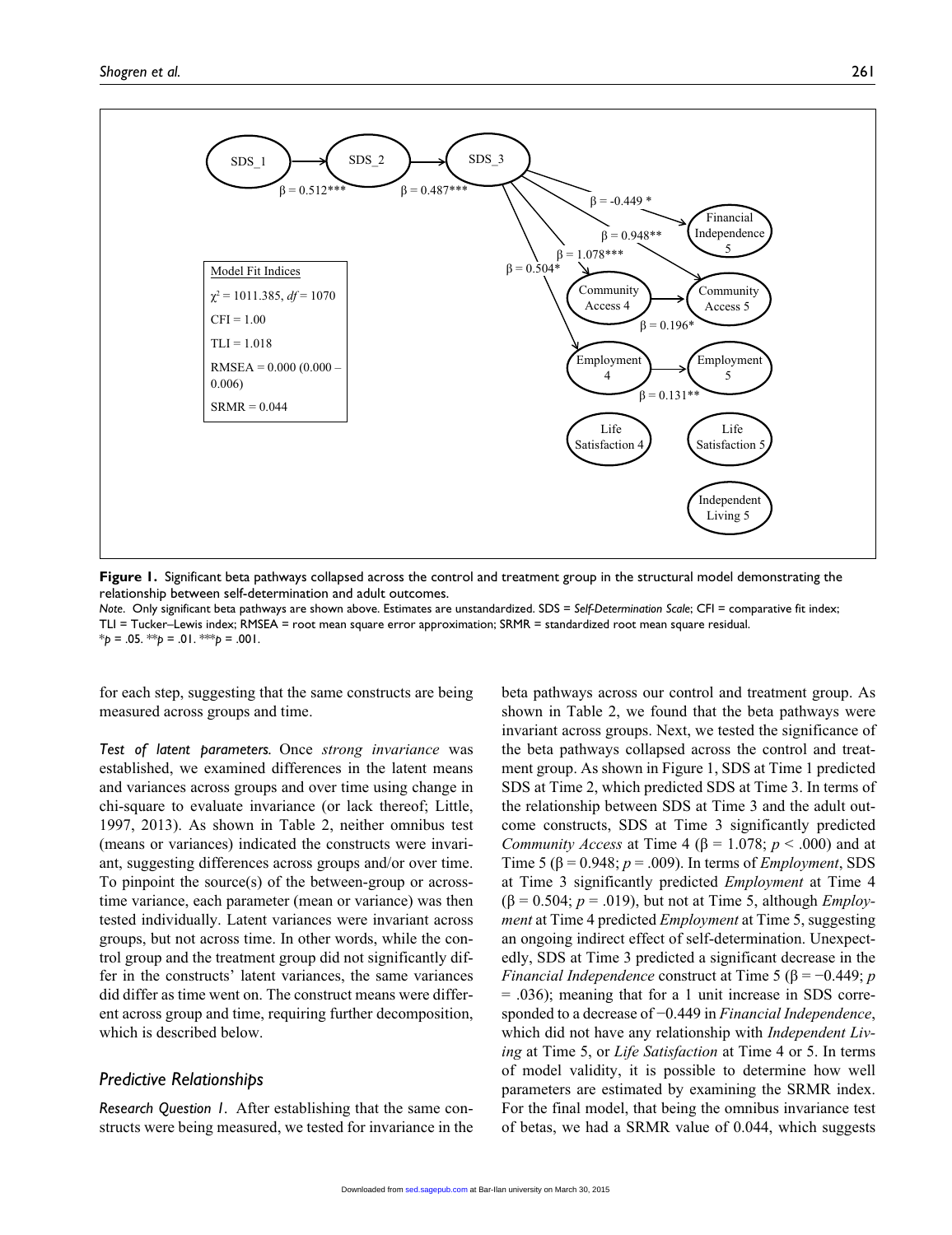

**Figure 1.** Significant beta pathways collapsed across the control and treatment group in the structural model demonstrating the relationship between self-determination and adult outcomes.

*Note*. Only significant beta pathways are shown above. Estimates are unstandardized. SDS = *Self-Determination Scale*; CFI = comparative fit index; TLI = Tucker–Lewis index; RMSEA = root mean square error approximation; SRMR = standardized root mean square residual.  $*_{p} = .05. * *_{p} = .01. * *_{p} = .001.$ 

for each step, suggesting that the same constructs are being measured across groups and time.

*Test of latent parameters.* Once *strong invariance* was established, we examined differences in the latent means and variances across groups and over time using change in chi-square to evaluate invariance (or lack thereof; Little, 1997, 2013). As shown in Table 2, neither omnibus test (means or variances) indicated the constructs were invariant, suggesting differences across groups and/or over time. To pinpoint the source(s) of the between-group or acrosstime variance, each parameter (mean or variance) was then tested individually. Latent variances were invariant across groups, but not across time. In other words, while the control group and the treatment group did not significantly differ in the constructs' latent variances, the same variances did differ as time went on. The construct means were different across group and time, requiring further decomposition, which is described below.

# *Predictive Relationships*

*Research Question 1.* After establishing that the same constructs were being measured, we tested for invariance in the beta pathways across our control and treatment group. As shown in Table 2, we found that the beta pathways were invariant across groups. Next, we tested the significance of the beta pathways collapsed across the control and treatment group. As shown in Figure 1, SDS at Time 1 predicted SDS at Time 2, which predicted SDS at Time 3. In terms of the relationship between SDS at Time 3 and the adult outcome constructs, SDS at Time 3 significantly predicted *Community Access* at Time 4 ( $\beta$  = 1.078; *p* < .000) and at Time 5 ( $\beta$  = 0.948; *p* = .009). In terms of *Employment*, SDS at Time 3 significantly predicted *Employment* at Time 4 (β = 0.504; *p* = .019), but not at Time 5, although *Employment* at Time 4 predicted *Employment* at Time 5, suggesting an ongoing indirect effect of self-determination. Unexpectedly, SDS at Time 3 predicted a significant decrease in the *Financial Independence* construct at Time 5 ( $\beta$  = −0.449; *p* = .036); meaning that for a 1 unit increase in SDS corresponded to a decrease of −0.449 in *Financial Independence*, which did not have any relationship with *Independent Living* at Time 5, or *Life Satisfaction* at Time 4 or 5. In terms of model validity, it is possible to determine how well parameters are estimated by examining the SRMR index. For the final model, that being the omnibus invariance test of betas, we had a SRMR value of 0.044, which suggests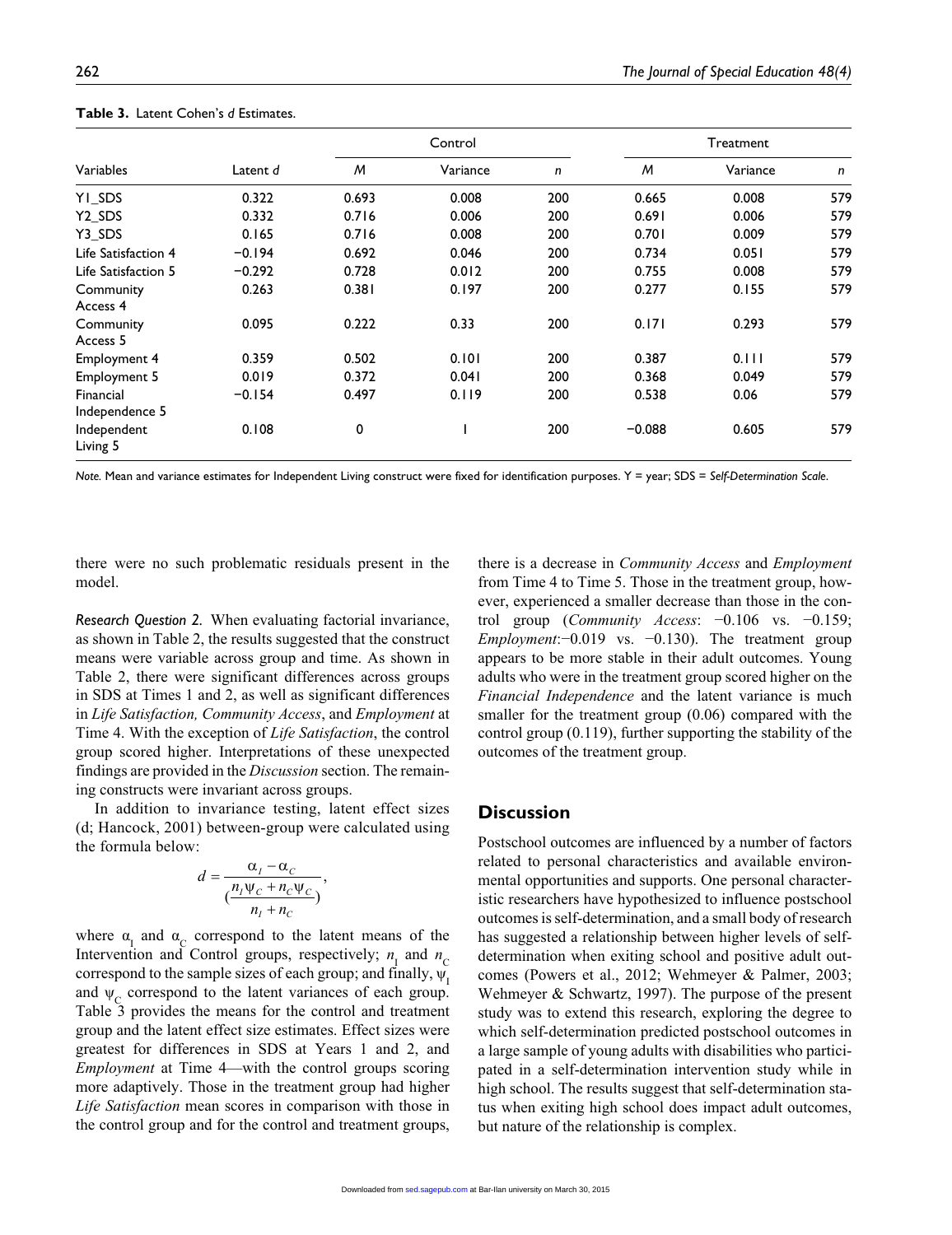| Variables                   |          |       | Control  |     | Treatment |          |     |  |
|-----------------------------|----------|-------|----------|-----|-----------|----------|-----|--|
|                             | Latent d | M     | Variance | n   | M         | Variance | n   |  |
| YI_SDS                      | 0.322    | 0.693 | 0.008    | 200 | 0.665     | 0.008    | 579 |  |
| Y2 SDS                      | 0.332    | 0.716 | 0.006    | 200 | 0.691     | 0.006    | 579 |  |
| Y3 SDS                      | 0.165    | 0.716 | 0.008    | 200 | 0.701     | 0.009    | 579 |  |
| Life Satisfaction 4         | $-0.194$ | 0.692 | 0.046    | 200 | 0.734     | 0.051    | 579 |  |
| Life Satisfaction 5         | $-0.292$ | 0.728 | 0.012    | 200 | 0.755     | 0.008    | 579 |  |
| Community<br>Access 4       | 0.263    | 0.381 | 0.197    | 200 | 0.277     | 0.155    | 579 |  |
| Community<br>Access 5       | 0.095    | 0.222 | 0.33     | 200 | 0.171     | 0.293    | 579 |  |
| <b>Employment 4</b>         | 0.359    | 0.502 | 0.101    | 200 | 0.387     | 0.111    | 579 |  |
| Employment 5                | 0.019    | 0.372 | 0.041    | 200 | 0.368     | 0.049    | 579 |  |
| Financial<br>Independence 5 | $-0.154$ | 0.497 | 0.119    | 200 | 0.538     | 0.06     | 579 |  |
| Independent<br>Living 5     | 0.108    | 0     |          | 200 | $-0.088$  | 0.605    | 579 |  |

**Table 3.** Latent Cohen's *d* Estimates.

*Note.* Mean and variance estimates for Independent Living construct were fixed for identification purposes. Y = year; SDS = *Self-Determination Scale*.

there were no such problematic residuals present in the model.

*Research Question 2.* When evaluating factorial invariance, as shown in Table 2, the results suggested that the construct means were variable across group and time. As shown in Table 2, there were significant differences across groups in SDS at Times 1 and 2, as well as significant differences in *Life Satisfaction, Community Access*, and *Employment* at Time 4. With the exception of *Life Satisfaction*, the control group scored higher. Interpretations of these unexpected findings are provided in the *Discussion* section. The remaining constructs were invariant across groups.

In addition to invariance testing, latent effect sizes (d; Hancock, 2001) between-group were calculated using the formula below:

$$
d = \frac{\alpha_I - \alpha_C}{\left(\frac{n_I \Psi_C + n_C \Psi_C}{n_I + n_C}\right)},
$$

where  $\alpha_{\text{I}}$  and  $\alpha_{\text{C}}$  correspond to the latent means of the Intervention and Control groups, respectively;  $n<sub>j</sub>$  and  $n<sub>C</sub>$ correspond to the sample sizes of each group; and finally,  $\psi_{I}$ and  $\psi_c$  correspond to the latent variances of each group. Table 3 provides the means for the control and treatment group and the latent effect size estimates. Effect sizes were greatest for differences in SDS at Years 1 and 2, and *Employment* at Time 4—with the control groups scoring more adaptively. Those in the treatment group had higher *Life Satisfaction* mean scores in comparison with those in the control group and for the control and treatment groups,

there is a decrease in *Community Access* and *Employment* from Time 4 to Time 5. Those in the treatment group, however, experienced a smaller decrease than those in the control group (*Community Access*: −0.106 vs. −0.159; *Employment*:−0.019 vs. −0.130). The treatment group appears to be more stable in their adult outcomes. Young adults who were in the treatment group scored higher on the *Financial Independence* and the latent variance is much smaller for the treatment group (0.06) compared with the control group (0.119), further supporting the stability of the outcomes of the treatment group.

# **Discussion**

Postschool outcomes are influenced by a number of factors related to personal characteristics and available environmental opportunities and supports. One personal characteristic researchers have hypothesized to influence postschool outcomes is self-determination, and a small body of research has suggested a relationship between higher levels of selfdetermination when exiting school and positive adult outcomes (Powers et al., 2012; Wehmeyer & Palmer, 2003; Wehmeyer & Schwartz, 1997). The purpose of the present study was to extend this research, exploring the degree to which self-determination predicted postschool outcomes in a large sample of young adults with disabilities who participated in a self-determination intervention study while in high school. The results suggest that self-determination status when exiting high school does impact adult outcomes, but nature of the relationship is complex.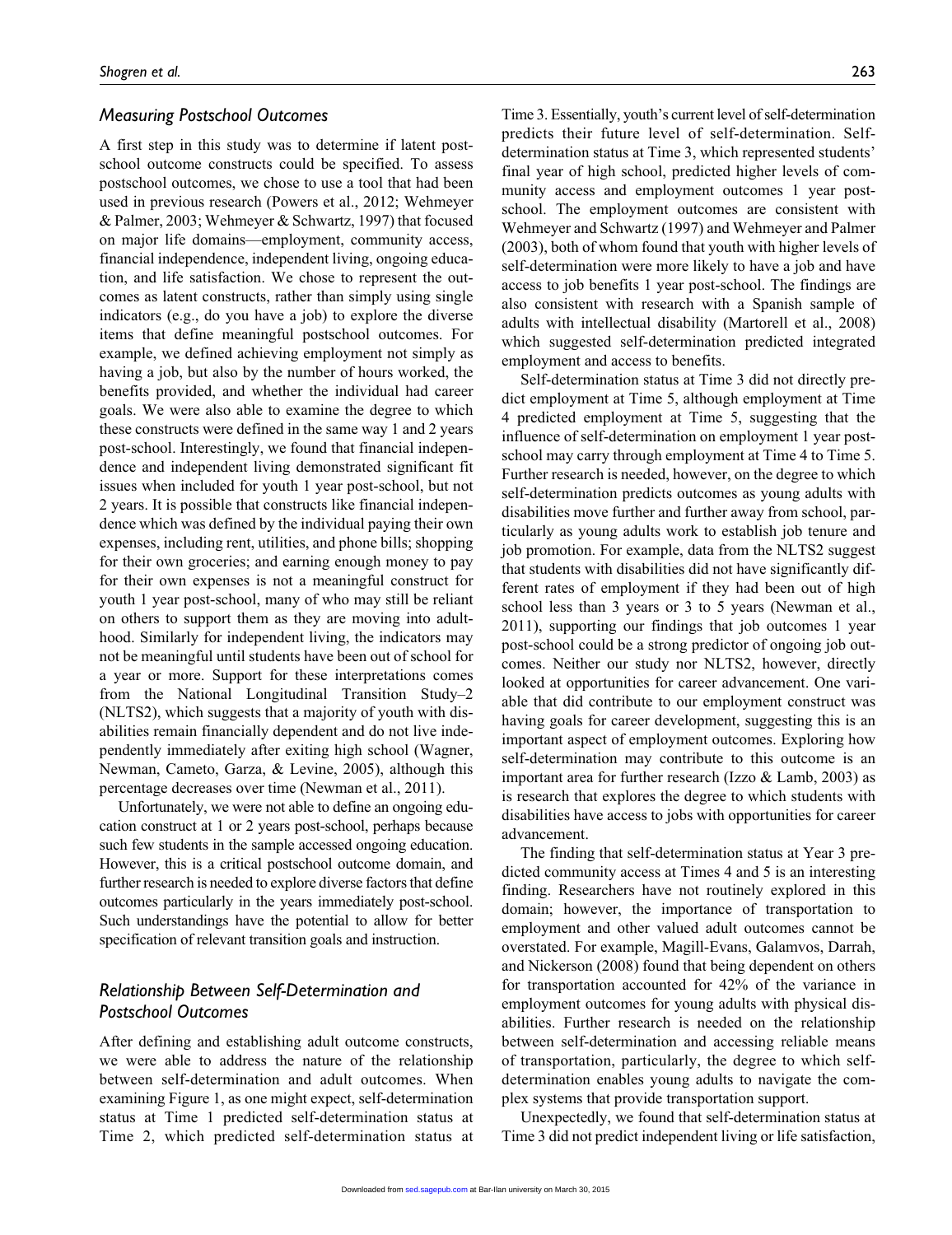# *Measuring Postschool Outcomes*

A first step in this study was to determine if latent postschool outcome constructs could be specified. To assess postschool outcomes, we chose to use a tool that had been used in previous research (Powers et al., 2012; Wehmeyer & Palmer, 2003; Wehmeyer & Schwartz, 1997) that focused on major life domains—employment, community access, financial independence, independent living, ongoing education, and life satisfaction. We chose to represent the outcomes as latent constructs, rather than simply using single indicators (e.g., do you have a job) to explore the diverse items that define meaningful postschool outcomes. For example, we defined achieving employment not simply as having a job, but also by the number of hours worked, the benefits provided, and whether the individual had career goals. We were also able to examine the degree to which these constructs were defined in the same way 1 and 2 years post-school. Interestingly, we found that financial independence and independent living demonstrated significant fit issues when included for youth 1 year post-school, but not 2 years. It is possible that constructs like financial independence which was defined by the individual paying their own expenses, including rent, utilities, and phone bills; shopping for their own groceries; and earning enough money to pay for their own expenses is not a meaningful construct for youth 1 year post-school, many of who may still be reliant on others to support them as they are moving into adulthood. Similarly for independent living, the indicators may not be meaningful until students have been out of school for a year or more. Support for these interpretations comes from the National Longitudinal Transition Study–2 (NLTS2), which suggests that a majority of youth with disabilities remain financially dependent and do not live independently immediately after exiting high school (Wagner, Newman, Cameto, Garza, & Levine, 2005), although this percentage decreases over time (Newman et al., 2011).

Unfortunately, we were not able to define an ongoing education construct at 1 or 2 years post-school, perhaps because such few students in the sample accessed ongoing education. However, this is a critical postschool outcome domain, and further research is needed to explore diverse factors that define outcomes particularly in the years immediately post-school. Such understandings have the potential to allow for better specification of relevant transition goals and instruction.

# *Relationship Between Self-Determination and Postschool Outcomes*

After defining and establishing adult outcome constructs, we were able to address the nature of the relationship between self-determination and adult outcomes. When examining Figure 1, as one might expect, self-determination status at Time 1 predicted self-determination status at Time 2, which predicted self-determination status at Time 3. Essentially, youth's current level of self-determination predicts their future level of self-determination. Selfdetermination status at Time 3, which represented students' final year of high school, predicted higher levels of community access and employment outcomes 1 year postschool. The employment outcomes are consistent with Wehmeyer and Schwartz (1997) and Wehmeyer and Palmer (2003), both of whom found that youth with higher levels of self-determination were more likely to have a job and have access to job benefits 1 year post-school. The findings are also consistent with research with a Spanish sample of adults with intellectual disability (Martorell et al., 2008) which suggested self-determination predicted integrated employment and access to benefits.

Self-determination status at Time 3 did not directly predict employment at Time 5, although employment at Time 4 predicted employment at Time 5, suggesting that the influence of self-determination on employment 1 year postschool may carry through employment at Time 4 to Time 5. Further research is needed, however, on the degree to which self-determination predicts outcomes as young adults with disabilities move further and further away from school, particularly as young adults work to establish job tenure and job promotion. For example, data from the NLTS2 suggest that students with disabilities did not have significantly different rates of employment if they had been out of high school less than 3 years or 3 to 5 years (Newman et al., 2011), supporting our findings that job outcomes 1 year post-school could be a strong predictor of ongoing job outcomes. Neither our study nor NLTS2, however, directly looked at opportunities for career advancement. One variable that did contribute to our employment construct was having goals for career development, suggesting this is an important aspect of employment outcomes. Exploring how self-determination may contribute to this outcome is an important area for further research (Izzo & Lamb, 2003) as is research that explores the degree to which students with disabilities have access to jobs with opportunities for career advancement.

The finding that self-determination status at Year 3 predicted community access at Times 4 and 5 is an interesting finding. Researchers have not routinely explored in this domain; however, the importance of transportation to employment and other valued adult outcomes cannot be overstated. For example, Magill-Evans, Galamvos, Darrah, and Nickerson (2008) found that being dependent on others for transportation accounted for 42% of the variance in employment outcomes for young adults with physical disabilities. Further research is needed on the relationship between self-determination and accessing reliable means of transportation, particularly, the degree to which selfdetermination enables young adults to navigate the complex systems that provide transportation support.

Unexpectedly, we found that self-determination status at Time 3 did not predict independent living or life satisfaction,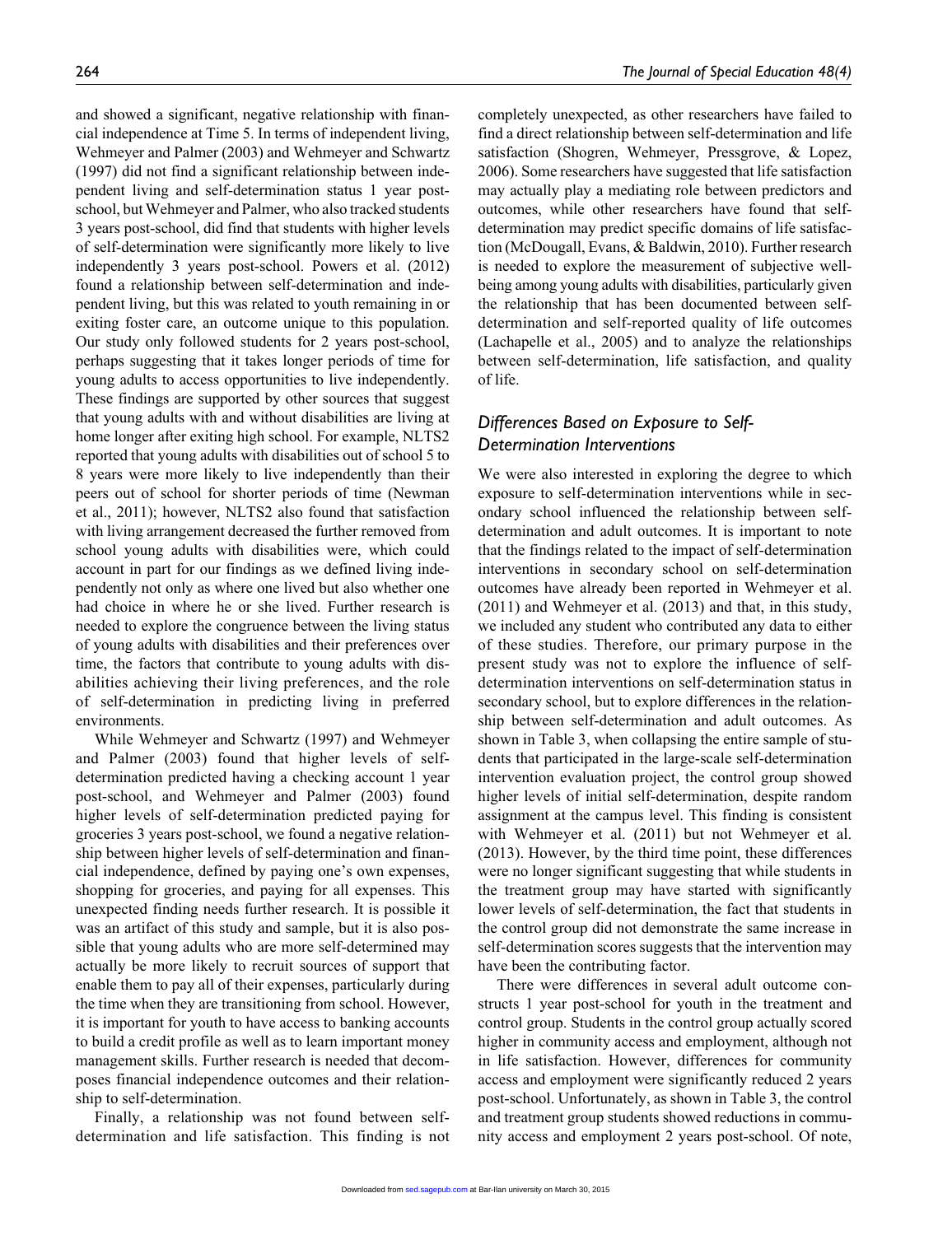and showed a significant, negative relationship with financial independence at Time 5. In terms of independent living, Wehmeyer and Palmer (2003) and Wehmeyer and Schwartz (1997) did not find a significant relationship between independent living and self-determination status 1 year postschool, but Wehmeyer and Palmer, who also tracked students 3 years post-school, did find that students with higher levels of self-determination were significantly more likely to live independently 3 years post-school. Powers et al. (2012) found a relationship between self-determination and independent living, but this was related to youth remaining in or exiting foster care, an outcome unique to this population. Our study only followed students for 2 years post-school, perhaps suggesting that it takes longer periods of time for young adults to access opportunities to live independently. These findings are supported by other sources that suggest that young adults with and without disabilities are living at home longer after exiting high school. For example, NLTS2 reported that young adults with disabilities out of school 5 to 8 years were more likely to live independently than their peers out of school for shorter periods of time (Newman et al., 2011); however, NLTS2 also found that satisfaction with living arrangement decreased the further removed from school young adults with disabilities were, which could account in part for our findings as we defined living independently not only as where one lived but also whether one had choice in where he or she lived. Further research is needed to explore the congruence between the living status of young adults with disabilities and their preferences over time, the factors that contribute to young adults with disabilities achieving their living preferences, and the role of self-determination in predicting living in preferred environments.

While Wehmeyer and Schwartz (1997) and Wehmeyer and Palmer (2003) found that higher levels of selfdetermination predicted having a checking account 1 year post-school, and Wehmeyer and Palmer (2003) found higher levels of self-determination predicted paying for groceries 3 years post-school, we found a negative relationship between higher levels of self-determination and financial independence, defined by paying one's own expenses, shopping for groceries, and paying for all expenses. This unexpected finding needs further research. It is possible it was an artifact of this study and sample, but it is also possible that young adults who are more self-determined may actually be more likely to recruit sources of support that enable them to pay all of their expenses, particularly during the time when they are transitioning from school. However, it is important for youth to have access to banking accounts to build a credit profile as well as to learn important money management skills. Further research is needed that decomposes financial independence outcomes and their relationship to self-determination.

Finally, a relationship was not found between selfdetermination and life satisfaction. This finding is not completely unexpected, as other researchers have failed to find a direct relationship between self-determination and life satisfaction (Shogren, Wehmeyer, Pressgrove, & Lopez, 2006). Some researchers have suggested that life satisfaction may actually play a mediating role between predictors and outcomes, while other researchers have found that selfdetermination may predict specific domains of life satisfaction (McDougall, Evans, & Baldwin, 2010). Further research is needed to explore the measurement of subjective wellbeing among young adults with disabilities, particularly given the relationship that has been documented between selfdetermination and self-reported quality of life outcomes (Lachapelle et al., 2005) and to analyze the relationships between self-determination, life satisfaction, and quality of life.

# *Differences Based on Exposure to Self-Determination Interventions*

We were also interested in exploring the degree to which exposure to self-determination interventions while in secondary school influenced the relationship between selfdetermination and adult outcomes. It is important to note that the findings related to the impact of self-determination interventions in secondary school on self-determination outcomes have already been reported in Wehmeyer et al. (2011) and Wehmeyer et al. (2013) and that, in this study, we included any student who contributed any data to either of these studies. Therefore, our primary purpose in the present study was not to explore the influence of selfdetermination interventions on self-determination status in secondary school, but to explore differences in the relationship between self-determination and adult outcomes. As shown in Table 3, when collapsing the entire sample of students that participated in the large-scale self-determination intervention evaluation project, the control group showed higher levels of initial self-determination, despite random assignment at the campus level. This finding is consistent with Wehmeyer et al. (2011) but not Wehmeyer et al. (2013). However, by the third time point, these differences were no longer significant suggesting that while students in the treatment group may have started with significantly lower levels of self-determination, the fact that students in the control group did not demonstrate the same increase in self-determination scores suggests that the intervention may have been the contributing factor.

There were differences in several adult outcome constructs 1 year post-school for youth in the treatment and control group. Students in the control group actually scored higher in community access and employment, although not in life satisfaction. However, differences for community access and employment were significantly reduced 2 years post-school. Unfortunately, as shown in Table 3, the control and treatment group students showed reductions in community access and employment 2 years post-school. Of note,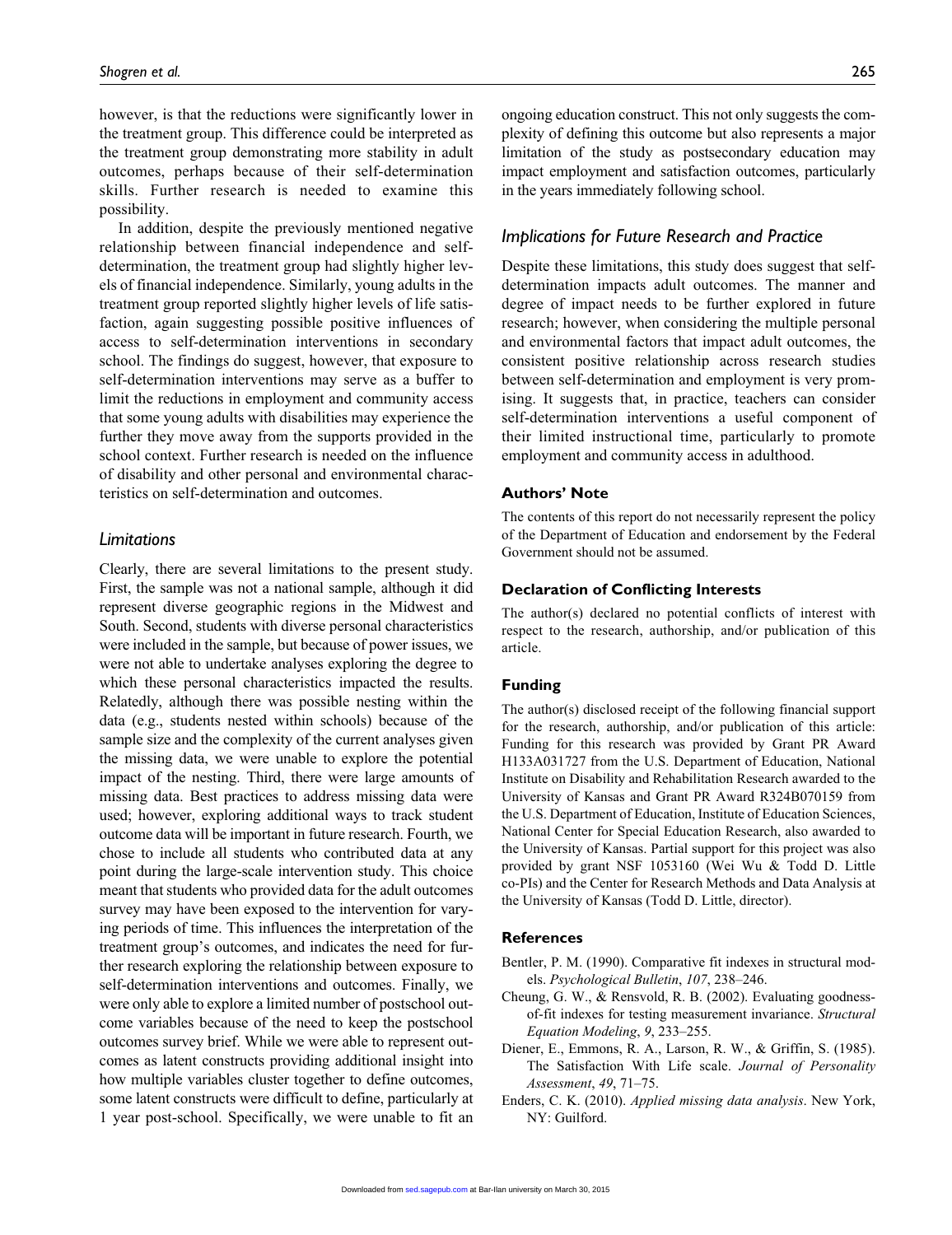however, is that the reductions were significantly lower in the treatment group. This difference could be interpreted as the treatment group demonstrating more stability in adult outcomes, perhaps because of their self-determination skills. Further research is needed to examine this possibility.

In addition, despite the previously mentioned negative relationship between financial independence and selfdetermination, the treatment group had slightly higher levels of financial independence. Similarly, young adults in the treatment group reported slightly higher levels of life satisfaction, again suggesting possible positive influences of access to self-determination interventions in secondary school. The findings do suggest, however, that exposure to self-determination interventions may serve as a buffer to limit the reductions in employment and community access that some young adults with disabilities may experience the further they move away from the supports provided in the school context. Further research is needed on the influence of disability and other personal and environmental characteristics on self-determination and outcomes.

#### *Limitations*

Clearly, there are several limitations to the present study. First, the sample was not a national sample, although it did represent diverse geographic regions in the Midwest and South. Second, students with diverse personal characteristics were included in the sample, but because of power issues, we were not able to undertake analyses exploring the degree to which these personal characteristics impacted the results. Relatedly, although there was possible nesting within the data (e.g., students nested within schools) because of the sample size and the complexity of the current analyses given the missing data, we were unable to explore the potential impact of the nesting. Third, there were large amounts of missing data. Best practices to address missing data were used; however, exploring additional ways to track student outcome data will be important in future research. Fourth, we chose to include all students who contributed data at any point during the large-scale intervention study. This choice meant that students who provided data for the adult outcomes survey may have been exposed to the intervention for varying periods of time. This influences the interpretation of the treatment group's outcomes, and indicates the need for further research exploring the relationship between exposure to self-determination interventions and outcomes. Finally, we were only able to explore a limited number of postschool outcome variables because of the need to keep the postschool outcomes survey brief. While we were able to represent outcomes as latent constructs providing additional insight into how multiple variables cluster together to define outcomes, some latent constructs were difficult to define, particularly at 1 year post-school. Specifically, we were unable to fit an

ongoing education construct. This not only suggests the complexity of defining this outcome but also represents a major limitation of the study as postsecondary education may impact employment and satisfaction outcomes, particularly in the years immediately following school.

# *Implications for Future Research and Practice*

Despite these limitations, this study does suggest that selfdetermination impacts adult outcomes. The manner and degree of impact needs to be further explored in future research; however, when considering the multiple personal and environmental factors that impact adult outcomes, the consistent positive relationship across research studies between self-determination and employment is very promising. It suggests that, in practice, teachers can consider self-determination interventions a useful component of their limited instructional time, particularly to promote employment and community access in adulthood.

#### **Authors' Note**

The contents of this report do not necessarily represent the policy of the Department of Education and endorsement by the Federal Government should not be assumed.

#### **Declaration of Conflicting Interests**

The author(s) declared no potential conflicts of interest with respect to the research, authorship, and/or publication of this article.

#### **Funding**

The author(s) disclosed receipt of the following financial support for the research, authorship, and/or publication of this article: Funding for this research was provided by Grant PR Award H133A031727 from the U.S. Department of Education, National Institute on Disability and Rehabilitation Research awarded to the University of Kansas and Grant PR Award R324B070159 from the U.S. Department of Education, Institute of Education Sciences, National Center for Special Education Research, also awarded to the University of Kansas. Partial support for this project was also provided by grant NSF 1053160 (Wei Wu & Todd D. Little co-PIs) and the Center for Research Methods and Data Analysis at the University of Kansas (Todd D. Little, director).

#### **References**

- Bentler, P. M. (1990). Comparative fit indexes in structural models. *Psychological Bulletin*, *107*, 238–246.
- Cheung, G. W., & Rensvold, R. B. (2002). Evaluating goodnessof-fit indexes for testing measurement invariance. *Structural Equation Modeling*, *9*, 233–255.
- Diener, E., Emmons, R. A., Larson, R. W., & Griffin, S. (1985). The Satisfaction With Life scale. *Journal of Personality Assessment*, *49*, 71–75.
- Enders, C. K. (2010). *Applied missing data analysis*. New York, NY: Guilford.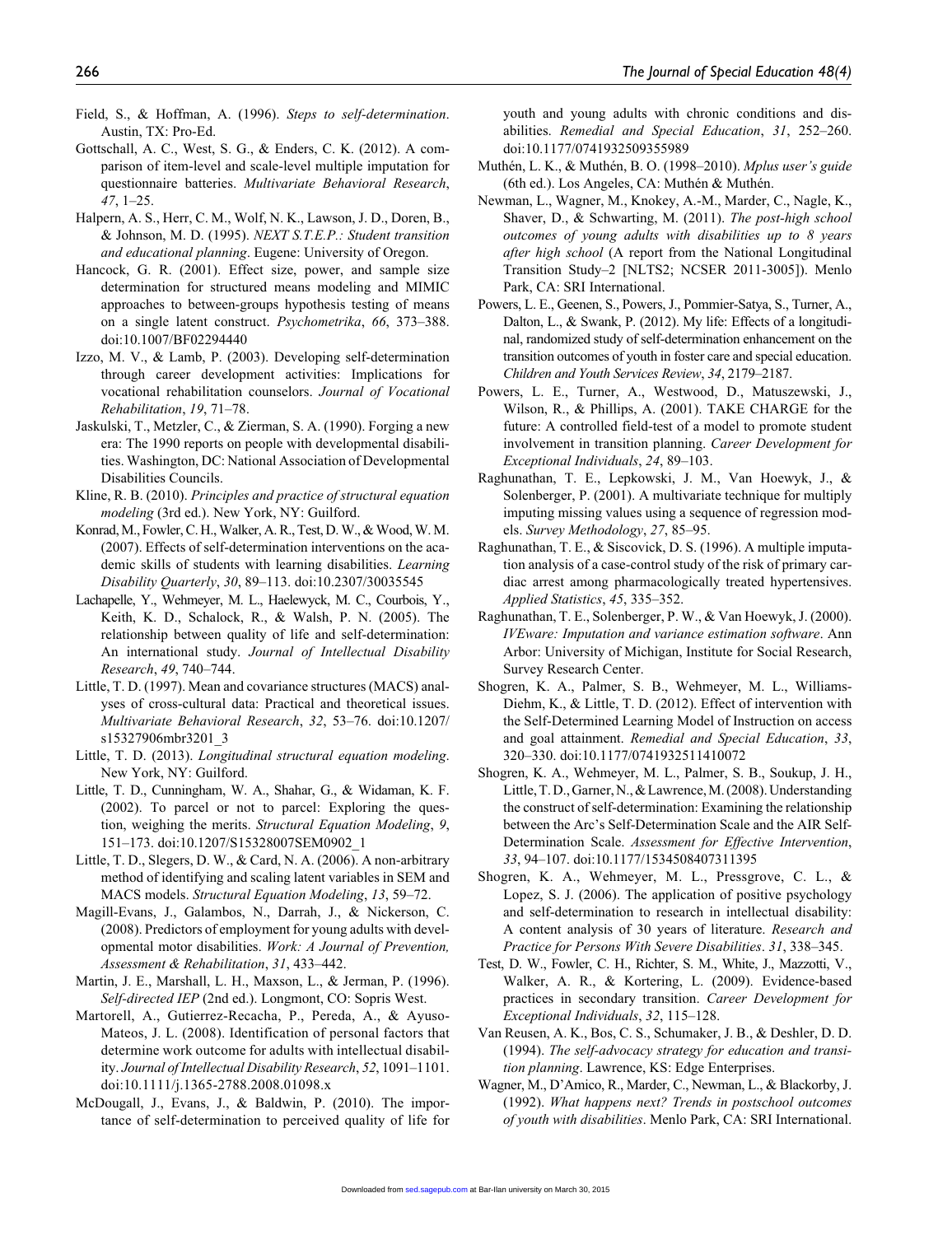- Field, S., & Hoffman, A. (1996). *Steps to self-determination*. Austin, TX: Pro-Ed.
- Gottschall, A. C., West, S. G., & Enders, C. K. (2012). A comparison of item-level and scale-level multiple imputation for questionnaire batteries. *Multivariate Behavioral Research*, *47*, 1–25.
- Halpern, A. S., Herr, C. M., Wolf, N. K., Lawson, J. D., Doren, B., & Johnson, M. D. (1995). *NEXT S.T.E.P.: Student transition and educational planning*. Eugene: University of Oregon.
- Hancock, G. R. (2001). Effect size, power, and sample size determination for structured means modeling and MIMIC approaches to between-groups hypothesis testing of means on a single latent construct. *Psychometrika*, *66*, 373–388. doi:10.1007/BF02294440
- Izzo, M. V., & Lamb, P. (2003). Developing self-determination through career development activities: Implications for vocational rehabilitation counselors. *Journal of Vocational Rehabilitation*, *19*, 71–78.
- Jaskulski, T., Metzler, C., & Zierman, S. A. (1990). Forging a new era: The 1990 reports on people with developmental disabilities. Washington, DC: National Association of Developmental Disabilities Councils.
- Kline, R. B. (2010). *Principles and practice of structural equation modeling* (3rd ed.). New York, NY: Guilford.
- Konrad, M., Fowler, C. H., Walker, A. R., Test, D. W., & Wood, W. M. (2007). Effects of self-determination interventions on the academic skills of students with learning disabilities. *Learning Disability Quarterly*, *30*, 89–113. doi:10.2307/30035545
- Lachapelle, Y., Wehmeyer, M. L., Haelewyck, M. C., Courbois, Y., Keith, K. D., Schalock, R., & Walsh, P. N. (2005). The relationship between quality of life and self-determination: An international study. *Journal of Intellectual Disability Research*, *49*, 740–744.
- Little, T. D. (1997). Mean and covariance structures (MACS) analyses of cross-cultural data: Practical and theoretical issues. *Multivariate Behavioral Research*, *32*, 53–76. doi:10.1207/ s15327906mbr3201\_3
- Little, T. D. (2013). *Longitudinal structural equation modeling*. New York, NY: Guilford.
- Little, T. D., Cunningham, W. A., Shahar, G., & Widaman, K. F. (2002). To parcel or not to parcel: Exploring the question, weighing the merits. *Structural Equation Modeling*, *9*, 151–173. doi:10.1207/S15328007SEM0902\_1
- Little, T. D., Slegers, D. W., & Card, N. A. (2006). A non-arbitrary method of identifying and scaling latent variables in SEM and MACS models. *Structural Equation Modeling*, *13*, 59–72.
- Magill-Evans, J., Galambos, N., Darrah, J., & Nickerson, C. (2008). Predictors of employment for young adults with developmental motor disabilities. *Work: A Journal of Prevention, Assessment & Rehabilitation*, *31*, 433–442.
- Martin, J. E., Marshall, L. H., Maxson, L., & Jerman, P. (1996). *Self-directed IEP* (2nd ed.). Longmont, CO: Sopris West.
- Martorell, A., Gutierrez-Recacha, P., Pereda, A., & Ayuso-Mateos, J. L. (2008). Identification of personal factors that determine work outcome for adults with intellectual disability. *Journal of Intellectual Disability Research*, *52*, 1091–1101. doi:10.1111/j.1365-2788.2008.01098.x
- McDougall, J., Evans, J., & Baldwin, P. (2010). The importance of self-determination to perceived quality of life for

youth and young adults with chronic conditions and disabilities. *Remedial and Special Education*, *31*, 252–260. doi:10.1177/0741932509355989

- Muthén, L. K., & Muthén, B. O. (1998–2010). *Mplus user's guide* (6th ed.). Los Angeles, CA: Muthén & Muthén.
- Newman, L., Wagner, M., Knokey, A.-M., Marder, C., Nagle, K., Shaver, D., & Schwarting, M. (2011). *The post-high school outcomes of young adults with disabilities up to 8 years after high school* (A report from the National Longitudinal Transition Study–2 [NLTS2; NCSER 2011-3005]). Menlo Park, CA: SRI International.
- Powers, L. E., Geenen, S., Powers, J., Pommier-Satya, S., Turner, A., Dalton, L., & Swank, P. (2012). My life: Effects of a longitudinal, randomized study of self-determination enhancement on the transition outcomes of youth in foster care and special education. *Children and Youth Services Review*, *34*, 2179–2187.
- Powers, L. E., Turner, A., Westwood, D., Matuszewski, J., Wilson, R., & Phillips, A. (2001). TAKE CHARGE for the future: A controlled field-test of a model to promote student involvement in transition planning. *Career Development for Exceptional Individuals*, *24*, 89–103.
- Raghunathan, T. E., Lepkowski, J. M., Van Hoewyk, J., & Solenberger, P. (2001). A multivariate technique for multiply imputing missing values using a sequence of regression models. *Survey Methodology*, *27*, 85–95.
- Raghunathan, T. E., & Siscovick, D. S. (1996). A multiple imputation analysis of a case-control study of the risk of primary cardiac arrest among pharmacologically treated hypertensives. *Applied Statistics*, *45*, 335–352.
- Raghunathan, T. E., Solenberger, P. W., & Van Hoewyk, J. (2000). *IVEware: Imputation and variance estimation software*. Ann Arbor: University of Michigan, Institute for Social Research, Survey Research Center.
- Shogren, K. A., Palmer, S. B., Wehmeyer, M. L., Williams-Diehm, K., & Little, T. D. (2012). Effect of intervention with the Self-Determined Learning Model of Instruction on access and goal attainment. *Remedial and Special Education*, *33*, 320–330. doi:10.1177/0741932511410072
- Shogren, K. A., Wehmeyer, M. L., Palmer, S. B., Soukup, J. H., Little, T. D., Garner, N., & Lawrence, M. (2008). Understanding the construct of self-determination: Examining the relationship between the Arc's Self-Determination Scale and the AIR Self-Determination Scale. *Assessment for Effective Intervention*, *33*, 94–107. doi:10.1177/1534508407311395
- Shogren, K. A., Wehmeyer, M. L., Pressgrove, C. L., & Lopez, S. J. (2006). The application of positive psychology and self-determination to research in intellectual disability: A content analysis of 30 years of literature. *Research and Practice for Persons With Severe Disabilities*. *31*, 338–345.
- Test, D. W., Fowler, C. H., Richter, S. M., White, J., Mazzotti, V., Walker, A. R., & Kortering, L. (2009). Evidence-based practices in secondary transition. *Career Development for Exceptional Individuals*, *32*, 115–128.
- Van Reusen, A. K., Bos, C. S., Schumaker, J. B., & Deshler, D. D. (1994). *The self-advocacy strategy for education and transition planning*. Lawrence, KS: Edge Enterprises.
- Wagner, M., D'Amico, R., Marder, C., Newman, L., & Blackorby, J. (1992). *What happens next? Trends in postschool outcomes of youth with disabilities*. Menlo Park, CA: SRI International.